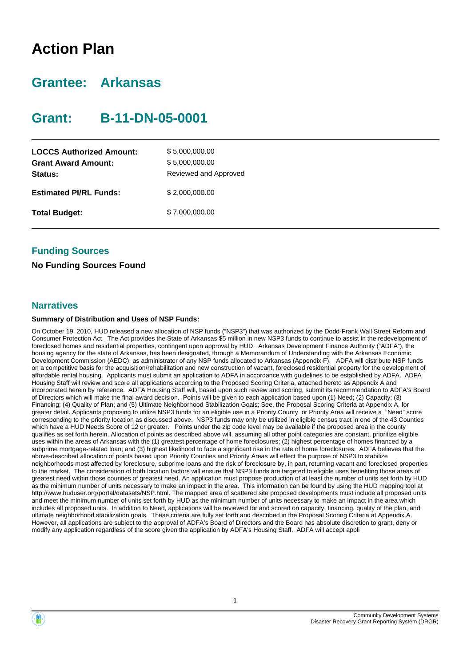## **Action Plan**

### **Grantee: Arkansas**

### **Grant: B-11-DN-05-0001**

| <b>LOCCS Authorized Amount:</b><br><b>Grant Award Amount:</b><br>Status: | \$5,000,000.00<br>\$5,000,000.00<br>Reviewed and Approved |
|--------------------------------------------------------------------------|-----------------------------------------------------------|
| <b>Estimated PI/RL Funds:</b>                                            | \$2,000,000.00                                            |
| <b>Total Budget:</b>                                                     | \$7,000,000.00                                            |

### **Funding Sources**

### **No Funding Sources Found**

### **Narratives**

#### **Summary of Distribution and Uses of NSP Funds:**

On October 19, 2010, HUD released a new allocation of NSP funds ("NSP3") that was authorized by the Dodd-Frank Wall Street Reform and Consumer Protection Act. The Act provides the State of Arkansas \$5 million in new NSP3 funds to continue to assist in the redevelopment of foreclosed homes and residential properties, contingent upon approval by HUD. Arkansas Development Finance Authority ("ADFA"), the housing agency for the state of Arkansas, has been designated, through a Memorandum of Understanding with the Arkansas Economic Development Commission (AEDC), as administrator of any NSP funds allocated to Arkansas (Appendix F). ADFA will distribute NSP funds on a competitive basis for the acquisition/rehabilitation and new construction of vacant, foreclosed residential property for the development of affordable rental housing. Applicants must submit an application to ADFA in accordance with guidelines to be established by ADFA. ADFA Housing Staff will review and score all applications according to the Proposed Scoring Criteria, attached hereto as Appendix A and incorporated herein by reference. ADFA Housing Staff will, based upon such review and scoring, submit its recommendation to ADFA's Board of Directors which will make the final award decision. Points will be given to each application based upon (1) Need; (2) Capacity; (3) Financing; (4) Quality of Plan; and (5) Ultimate Neighborhood Stabilization Goals; See, the Proposal Scoring Criteria at Appendix A, for greater detail. Applicants proposing to utilize NSP3 funds for an eligible use in a Priority County or Priority Area will receive a "Need" score corresponding to the priority location as discussed above. NSP3 funds may only be utilized in eligible census tract in one of the 43 Counties which have a HUD Needs Score of 12 or greater. Points under the zip code level may be available if the proposed area in the county qualifies as set forth herein. Allocation of points as described above will, assuming all other point categories are constant, prioritize eligible uses within the areas of Arkansas with the (1) greatest percentage of home foreclosures; (2) highest percentage of homes financed by a subprime mortgage-related loan; and (3) highest likelihood to face a significant rise in the rate of home foreclosures. ADFA believes that the above-described allocation of points based upon Priority Counties and Priority Areas will effect the purpose of NSP3 to stabilize neighborhoods most affected by foreclosure, subprime loans and the risk of foreclosure by, in part, returning vacant and foreclosed properties to the market. The consideration of both location factors will ensure that NSP3 funds are targeted to eligible uses benefiting those areas of greatest need within those counties of greatest need. An application must propose production of at least the number of units set forth by HUD as the minimum number of units necessary to make an impact in the area. This information can be found by using the HUD mapping tool at http://www.huduser.org/portal/datasets/NSP.html. The mapped area of scattered site proposed developments must include all proposed units and meet the minimum number of units set forth by HUD as the minimum number of units necessary to make an impact in the area which includes all proposed units. In addition to Need, applications will be reviewed for and scored on capacity, financing, quality of the plan, and ultimate neighborhood stabilization goals. These criteria are fully set forth and described in the Proposal Scoring Criteria at Appendix A. However, all applications are subject to the approval of ADFA's Board of Directors and the Board has absolute discretion to grant, deny or modify any application regardless of the score given the application by ADFA's Housing Staff. ADFA will accept appli



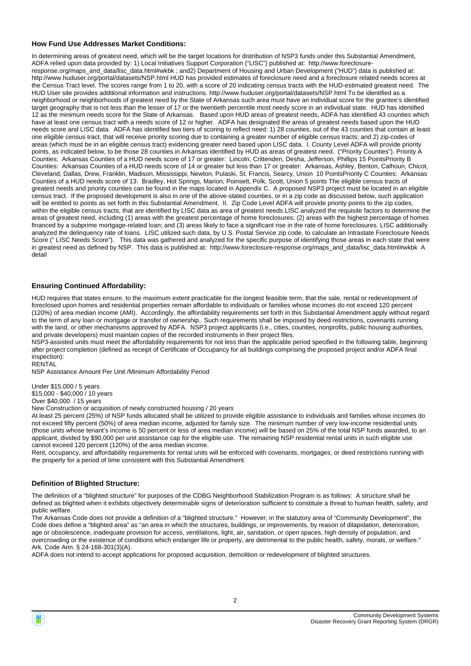#### **How Fund Use Addresses Market Conditions:**

In determining areas of greatest need, which will be the target locations for distribution of NSP3 funds under this Substantial Amendment, ADFA relied upon data provided by: 1) Local Initiatives Support Corporation ("LISC") published at: http://www.foreclosureresponse.org/maps\_and\_data/lisc\_data.html#wkbk ; and2) Department of Housing and Urban Development ("HUD") data is published at: http://www.huduser.org/portal/datasets/NSP.html HUD has provided estimates of foreclosure need and a foreclosure related needs scores at the Census Tract level. The scores range from 1 to 20, with a score of 20 indicating census tracts with the HUD-estimated greatest need. The HUD User site provides additional information and instructions. http://www.huduser.org/portal/datasets/NSP.html To be identified as a neighborhood or neighborhoods of greatest need by the State of Arkansas such area must have an individual score for the grantee's identified target geography that is not less than the lesser of 17 or the twentieth percentile most needy score in an individual state. HUD has identified 12 as the minimum needs score for the State of Arkansas. Based upon HUD areas of greatest needs, ADFA has identified 43 counties which have at least one census tract with a needs score of 12 or higher. ADFA has designated the areas of greatest needs based upon the HUD needs score and LISC data. ADFA has identified two tiers of scoring to reflect need: 1) 28 counties, out of the 43 counties that contain at least one eligible census tract, that will receive priority scoring due to containing a greater number of eligible census tracts; and 2) zip-codes of areas (which must be in an eligible census tract) evidencing greater need based upon LISC data. I. County Level ADFA will provide priority points, as indicated below, to be those 28 counties in Arkansas identified by HUD as areas of greatest need. ("Priority Counties"). Priority A Counties: Arkansas Counties of a HUD needs score of 17 or greater: Lincoln, Crittenden, Desha, Jefferson, Phillips 15 PointsPriority B Counties: Arkansas Counties of a HUD needs score of 14 or greater but less than 17 or greater: Arkansas, Ashley, Benton, Calhoun, Chicot, Cleveland, Dallas, Drew, Franklin, Madison, Mississippi, Newton, Pulaski, St. Francis, Searcy, Union 10 PointsPriority C Counties: Arkansas Counties of a HUD needs score of 13: Bradley, Hot Springs, Marion, Poinsett, Polk, Scott, Union 5 points The eligible census tracts of greatest needs and priority counties can be found in the maps located in Appendix C. A proposed NSP3 project must be located in an eligible census tract. If the proposed development is also in one of the above-stated counties, or in a zip code as discussed below, such application will be entitled to points as set forth in this Substantial Amendment. II. Zip Code Level ADFA will provide priority points to the zip codes, within the eligible census tracts, that are identified by LISC data as area of greatest needs.LISC analyzed the requisite factors to determine the areas of greatest need, including (1) areas with the greatest percentage of home foreclosures; (2) areas with the highest percentage of homes financed by a subprime mortgage-related loan; and (3) areas likely to face a significant rise in the rate of home foreclosures. LISC additionally analyzed the delinquency rate of loans. LISC utilized such data, by U.S. Postal Service zip code, to calculate an Intrastate Foreclosure Needs Score ("LISC Needs Score"). This data was gathered and analyzed for the specific purpose of identifying those areas in each state that were in greatest need as defined by NSP. This data is published at: http://www.foreclosure-response.org/maps\_and\_data/lisc\_data.html#wkbk A detail

#### **Ensuring Continued Affordability:**

HUD requires that states ensure, to the maximum extent practicable for the longest feasible term, that the sale, rental or redevelopment of foreclosed upon homes and residential properties remain affordable to individuals or families whose incomes do not exceed 120 percent (120%) of area median income (AMI). Accordingly, the affordability requirements set forth in this Substantial Amendment apply without regard to the term of any loan or mortgage or transfer of ownership. Such requirements shall be imposed by deed restrictions, covenants running with the land, or other mechanisms approved by ADFA. NSP3 project applicants (i.e., cities, counties, nonprofits, public housing authorities, and private developers) must maintain copies of the recorded instruments in their project files.

NSP3-assisted units must meet the affordability requirements for not less than the applicable period specified in the following table, beginning after project completion (defined as receipt of Certificate of Occupancy for all buildings comprising the proposed project and/or ADFA final inspection): RENTAL

NSP Assistance Amount Per Unit /Minimum Affordability Period

Under \$15,000 / 5 years

\$15,000 - \$40,000 / 10 years

Over \$40,000 / 15 years

New Construction or acquisition of newly constructed housing / 20 years

At least 25 percent (25%) of NSP funds allocated shall be utilized to provide eligible assistance to individuals and families whose incomes do not exceed fifty percent (50%) of area median income, adjusted for family size. The minimum number of very low-income residential units (those units whose tenant's income is 50 percent or less of area median income) will be based on 25% of the total NSP funds awarded, to an applicant, divided by \$90,000 per unit assistance cap for the eligible use. The remaining NSP residential rental units in such eligible use cannot exceed 120 percent (120%) of the area median income.

Rent, occupancy, and affordability requirements for rental units will be enforced with covenants, mortgages, or deed restrictions running with the property for a period of time consistent with this Substantial Amendment.

#### **Definition of Blighted Structure:**

The definition of a "blighted structure" for purposes of the CDBG Neighborhood Stabilization Program is as follows: A structure shall be defined as blighted when it exhibits objectively determinable signs of deterioration sufficient to constitute a threat to human health, safety, and public welfare.

The Arkansas Code does not provide a definition of a "blighted structure." However, in the statutory area of "Community Development", the Code does define a "blighted area" as "an area in which the structures, buildings, or improvements, by reason of dilapidation, deterioration, age or obsolescence, inadequate provision for access, ventilations, light, air, sanitation, or open spaces, high density of population, and overcrowding or the existence of conditions which endanger life or property, are detrimental to the public health, safety, morals, or welfare." Ark. Code Ann. § 24-168-301(3)(A).

ADFA does not intend to accept applications for proposed acquisition, demolition or redevelopment of blighted structures.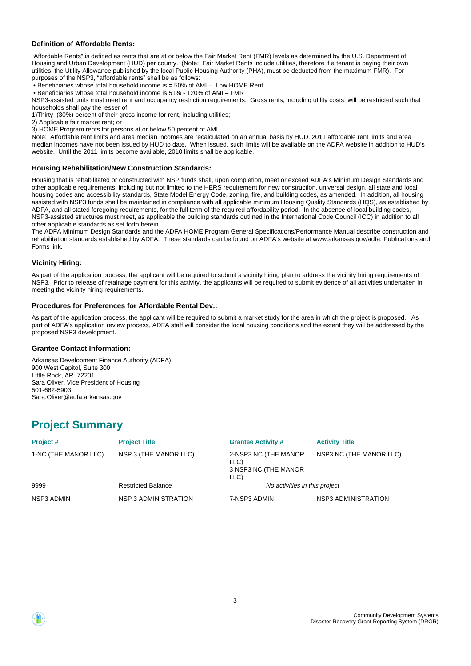#### **Definition of Affordable Rents:**

"Affordable Rents" is defined as rents that are at or below the Fair Market Rent (FMR) levels as determined by the U.S. Department of Housing and Urban Development (HUD) per county. (Note: Fair Market Rents include utilities, therefore if a tenant is paying their own utilities, the Utility Allowance published by the local Public Housing Authority (PHA), must be deducted from the maximum FMR). For purposes of the NSP3, "affordable rents" shall be as follows:

• Beneficiaries whose total household income is = 50% of AMI – Low HOME Rent

• Beneficiaries whose total household income is 51% - 120% of AMI – FMR

NSP3-assisted units must meet rent and occupancy restriction requirements. Gross rents, including utility costs, will be restricted such that households shall pay the lesser of:

1)Thirty (30%) percent of their gross income for rent, including utilities;

2) Applicable fair market rent; or

3) HOME Program rents for persons at or below 50 percent of AMI.

Note: Affordable rent limits and area median incomes are recalculated on an annual basis by HUD. 2011 affordable rent limits and area median incomes have not been issued by HUD to date. When issued, such limits will be available on the ADFA website in addition to HUD's website. Until the 2011 limits become available, 2010 limits shall be applicable.

#### **Housing Rehabilitation/New Construction Standards:**

Housing that is rehabilitated or constructed with NSP funds shall, upon completion, meet or exceed ADFA's Minimum Design Standards and other applicable requirements, including but not limited to the HERS requirement for new construction, universal design, all state and local housing codes and accessibility standards, State Model Energy Code, zoning, fire, and building codes, as amended. In addition, all housing assisted with NSP3 funds shall be maintained in compliance with all applicable minimum Housing Quality Standards (HQS), as established by ADFA, and all stated foregoing requirements, for the full term of the required affordability period. In the absence of local building codes, NSP3-assisted structures must meet, as applicable the building standards outlined in the International Code Council (ICC) in addition to all other applicable standards as set forth herein.

The ADFA Minimum Design Standards and the ADFA HOME Program General Specifications/Performance Manual describe construction and rehabilitation standards established by ADFA. These standards can be found on ADFA's website at www.arkansas.gov/adfa, Publications and Forms link.

#### **Vicinity Hiring:**

As part of the application process, the applicant will be required to submit a vicinity hiring plan to address the vicinity hiring requirements of NSP3. Prior to release of retainage payment for this activity, the applicants will be required to submit evidence of all activities undertaken in meeting the vicinity hiring requirements.

#### **Procedures for Preferences for Affordable Rental Dev.:**

As part of the application process, the applicant will be required to submit a market study for the area in which the project is proposed. As part of ADFA's application review process, ADFA staff will consider the local housing conditions and the extent they will be addressed by the proposed NSP3 development.

#### **Grantee Contact Information:**

Arkansas Development Finance Authority (ADFA) 900 West Capitol, Suite 300 Little Rock, AR 72201 Sara Oliver, Vice President of Housing 501-662-5903 Sara.Oliver@adfa.arkansas.gov

### **Project Summary**

| Project#             | <b>Project Title</b>      | <b>Grantee Activity #</b>                                    | <b>Activity Title</b>   |
|----------------------|---------------------------|--------------------------------------------------------------|-------------------------|
| 1-NC (THE MANOR LLC) | NSP 3 (THE MANOR LLC)     | 2-NSP3 NC (THE MANOR<br>LLC)<br>3 NSP3 NC (THE MANOR<br>LLC) | NSP3 NC (THE MANOR LLC) |
| 9999                 | <b>Restricted Balance</b> | No activities in this project                                |                         |
| NSP3 ADMIN           | NSP 3 ADMINISTRATION      | 7-NSP3 ADMIN                                                 | NSP3 ADMINISTRATION     |



3

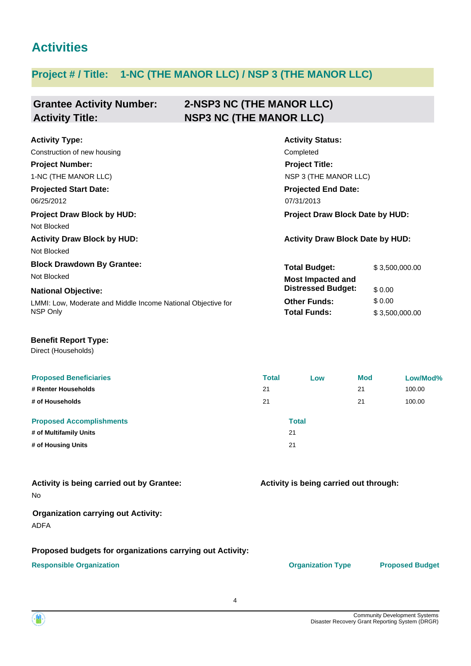### **Activities**

### **Project # / Title: 1-NC (THE MANOR LLC) / NSP 3 (THE MANOR LLC)**

#### **Grantee Activity Number: 2-NSP3 NC (THE MANOR LLC) Activity Title: NSP3 NC (THE MANOR LLC)**

| <b>Activity Type:</b>                                        | <b>Activity Status:</b>                 |                |  |
|--------------------------------------------------------------|-----------------------------------------|----------------|--|
| Construction of new housing                                  | Completed                               |                |  |
| <b>Project Number:</b>                                       | <b>Project Title:</b>                   |                |  |
| 1-NC (THE MANOR LLC)                                         | NSP 3 (THE MANOR LLC)                   |                |  |
| <b>Projected Start Date:</b>                                 | <b>Projected End Date:</b>              |                |  |
| 06/25/2012                                                   | 07/31/2013                              |                |  |
| <b>Project Draw Block by HUD:</b>                            | Project Draw Block Date by HUD:         |                |  |
| Not Blocked                                                  |                                         |                |  |
| <b>Activity Draw Block by HUD:</b>                           | <b>Activity Draw Block Date by HUD:</b> |                |  |
| Not Blocked                                                  |                                         |                |  |
| <b>Block Drawdown By Grantee:</b>                            | <b>Total Budget:</b>                    | \$3,500,000.00 |  |
| Not Blocked                                                  | <b>Most Impacted and</b>                |                |  |
| <b>National Objective:</b>                                   | <b>Distressed Budget:</b>               | \$0.00         |  |
| LMMI: Low, Moderate and Middle Income National Objective for | <b>Other Funds:</b>                     | \$0.00         |  |
| NSP Only                                                     | <b>Total Funds:</b>                     | \$3,500,000.00 |  |
|                                                              |                                         |                |  |

### **Benefit Report Type:**

Direct (Households)

| <b>Proposed Beneficiaries</b>   | <b>Total</b> | Low          | <b>Mod</b> | Low/Mod% |
|---------------------------------|--------------|--------------|------------|----------|
| # Renter Households             | 21           |              | 21         | 100.00   |
| # of Households                 | 21           |              | 21         | 100.00   |
| <b>Proposed Accomplishments</b> |              | <b>Total</b> |            |          |
| # of Multifamily Units          | 21           |              |            |          |
| # of Housing Units              | 21           |              |            |          |

| <b>Activity is being carried out by Grantee:</b> |  |
|--------------------------------------------------|--|
| No                                               |  |

### **Organization carrying out Activity:**

ADFA

### **Proposed budgets for organizations carrying out Activity:**

### **Responsible Organization COVID-10 COVID-10 Organization Type Proposed Budget**

**Activity is being carried out through:**

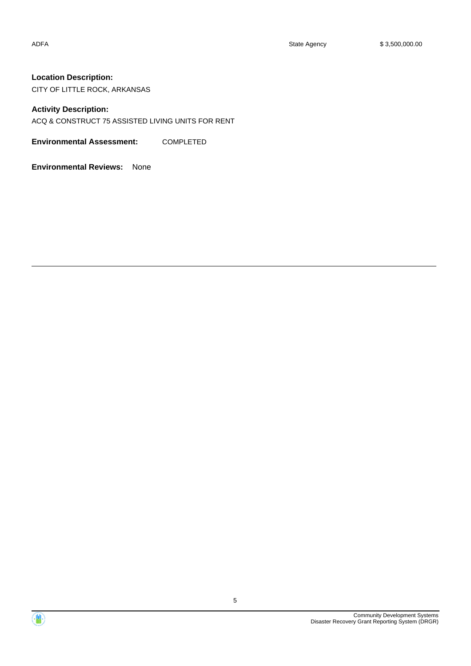### **Location Description:**

CITY OF LITTLE ROCK, ARKANSAS

### **Activity Description:**

ACQ & CONSTRUCT 75 ASSISTED LIVING UNITS FOR RENT

**Environmental Assessment:** COMPLETED

**Environmental Reviews:** None



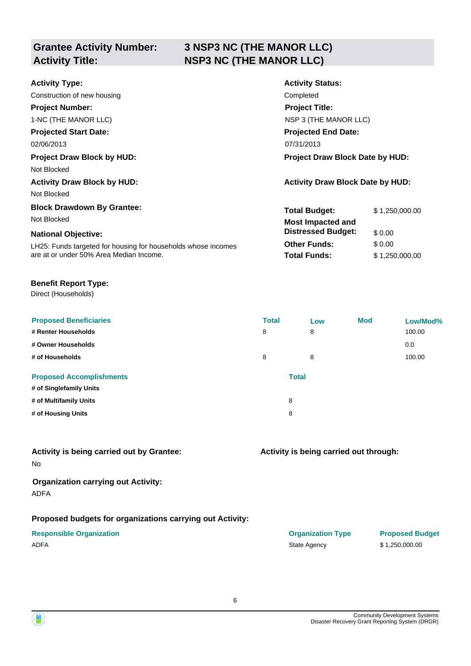# **Grantee Activity Number:**

### **3 NSP3 NC (THE MANOR LLC) Activity Title: NSP3 NC (THE MANOR LLC)**

| <b>Activity Type:</b>                                         | <b>Activity Status:</b>                 |                |  |
|---------------------------------------------------------------|-----------------------------------------|----------------|--|
| Construction of new housing                                   | Completed                               |                |  |
| <b>Project Number:</b>                                        | <b>Project Title:</b>                   |                |  |
| 1-NC (THE MANOR LLC)                                          | NSP 3 (THE MANOR LLC)                   |                |  |
| <b>Projected Start Date:</b>                                  | <b>Projected End Date:</b>              |                |  |
| 02/06/2013                                                    | 07/31/2013                              |                |  |
| <b>Project Draw Block by HUD:</b>                             | <b>Project Draw Block Date by HUD:</b>  |                |  |
| Not Blocked                                                   |                                         |                |  |
| <b>Activity Draw Block by HUD:</b>                            | <b>Activity Draw Block Date by HUD:</b> |                |  |
| Not Blocked                                                   |                                         |                |  |
| <b>Block Drawdown By Grantee:</b>                             | <b>Total Budget:</b>                    | \$1,250,000.00 |  |
| Not Blocked                                                   | <b>Most Impacted and</b>                |                |  |
| <b>National Objective:</b>                                    | <b>Distressed Budget:</b>               | \$0.00         |  |
| LH25: Funds targeted for housing for households whose incomes | <b>Other Funds:</b>                     | \$0.00         |  |
| are at or under 50% Area Median Income.                       | <b>Total Funds:</b>                     | \$1,250,000.00 |  |
|                                                               |                                         |                |  |

### **Benefit Report Type:**

Direct (Households)

| <b>Proposed Beneficiaries</b><br># Renter Households | <b>Total</b><br>8 | Low<br>8     | Mod | Low/Mod%<br>100.00 |
|------------------------------------------------------|-------------------|--------------|-----|--------------------|
| # Owner Households                                   |                   |              |     | 0.0                |
| # of Households                                      | 8                 | 8            |     | 100.00             |
| <b>Proposed Accomplishments</b>                      |                   | <b>Total</b> |     |                    |
| # of Singlefamily Units                              |                   |              |     |                    |
| # of Multifamily Units                               |                   | 8            |     |                    |
| # of Housing Units                                   |                   | 8            |     |                    |

6

### No **Activity is being carried out by Grantee:**

### **Organization carrying out Activity:** ADFA

### **Proposed budgets for organizations carrying out Activity:**

### **Responsible Organization COVID-10 COVID-10 Organization Type Proposed Budget** ADFA 31,250,000.00

### **Activity is being carried out through:**



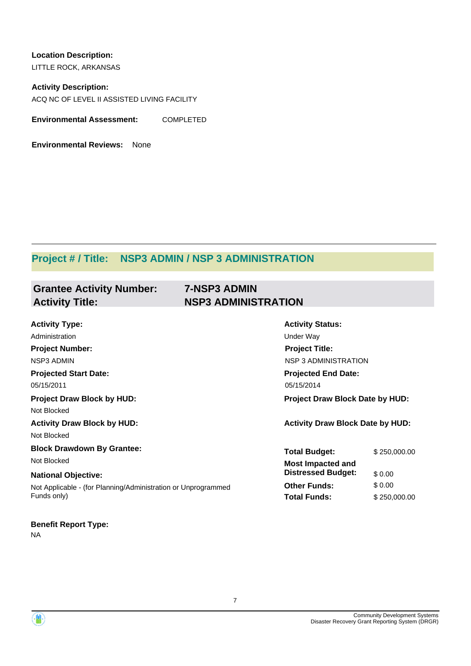**Location Description:** LITTLE ROCK, ARKANSAS

**Activity Description:** ACQ NC OF LEVEL II ASSISTED LIVING FACILITY

**Environmental Assessment:** COMPLETED

**Environmental Reviews:** None

### **Project # / Title: NSP3 ADMIN / NSP 3 ADMINISTRATION**

| <b>Grantee Activity Number:</b> | <b>7-NSP3 ADMIN</b>        |
|---------------------------------|----------------------------|
| <b>Activity Title:</b>          | <b>NSP3 ADMINISTRATION</b> |

| <b>Activity Type:</b>                                         | <b>Activity Status:</b>                 |              |
|---------------------------------------------------------------|-----------------------------------------|--------------|
| Administration                                                | Under Way                               |              |
| <b>Project Number:</b>                                        | <b>Project Title:</b>                   |              |
| NSP3 ADMIN                                                    | <b>NSP 3 ADMINISTRATION</b>             |              |
| <b>Projected Start Date:</b>                                  | <b>Projected End Date:</b>              |              |
| 05/15/2011                                                    | 05/15/2014                              |              |
| <b>Project Draw Block by HUD:</b>                             | Project Draw Block Date by HUD:         |              |
| Not Blocked                                                   |                                         |              |
| <b>Activity Draw Block by HUD:</b>                            | <b>Activity Draw Block Date by HUD:</b> |              |
| Not Blocked                                                   |                                         |              |
| <b>Block Drawdown By Grantee:</b>                             | <b>Total Budget:</b>                    | \$250,000.00 |
| Not Blocked                                                   | <b>Most Impacted and</b>                |              |
| <b>National Objective:</b>                                    | <b>Distressed Budget:</b>               | \$0.00       |
| Not Applicable - (for Planning/Administration or Unprogrammed | <b>Other Funds:</b>                     | \$0.00       |
| Funds only)                                                   | <b>Total Funds:</b>                     | \$250,000.00 |
| <b>Benefit Report Type:</b>                                   |                                         |              |

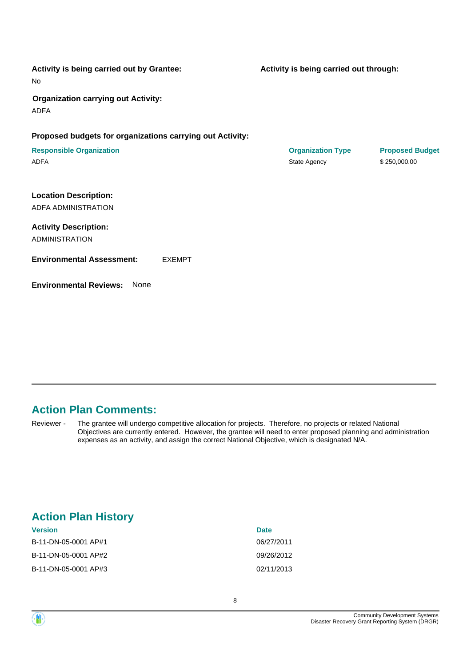| Activity is being carried out by Grantee:<br>No           |               | Activity is being carried out through:   |                                        |
|-----------------------------------------------------------|---------------|------------------------------------------|----------------------------------------|
| <b>Organization carrying out Activity:</b><br><b>ADFA</b> |               |                                          |                                        |
| Proposed budgets for organizations carrying out Activity: |               |                                          |                                        |
| <b>Responsible Organization</b><br><b>ADFA</b>            |               | <b>Organization Type</b><br>State Agency | <b>Proposed Budget</b><br>\$250,000.00 |
| <b>Location Description:</b><br>ADFA ADMINISTRATION       |               |                                          |                                        |
| <b>Activity Description:</b><br><b>ADMINISTRATION</b>     |               |                                          |                                        |
| <b>Environmental Assessment:</b>                          | <b>EXEMPT</b> |                                          |                                        |
| <b>Environmental Reviews:</b><br><b>None</b>              |               |                                          |                                        |

### **Action Plan Comments:**

The grantee will undergo competitive allocation for projects. Therefore, no projects or related National Objectives are currently entered. However, the grantee will need to enter proposed planning and administration expenses as an activity, and assign the correct National Objective, which is designated N/A. Reviewer -

### **Action Plan History**

| <b>Date</b> |
|-------------|
| 06/27/2011  |
| 09/26/2012  |
| 02/11/2013  |
|             |